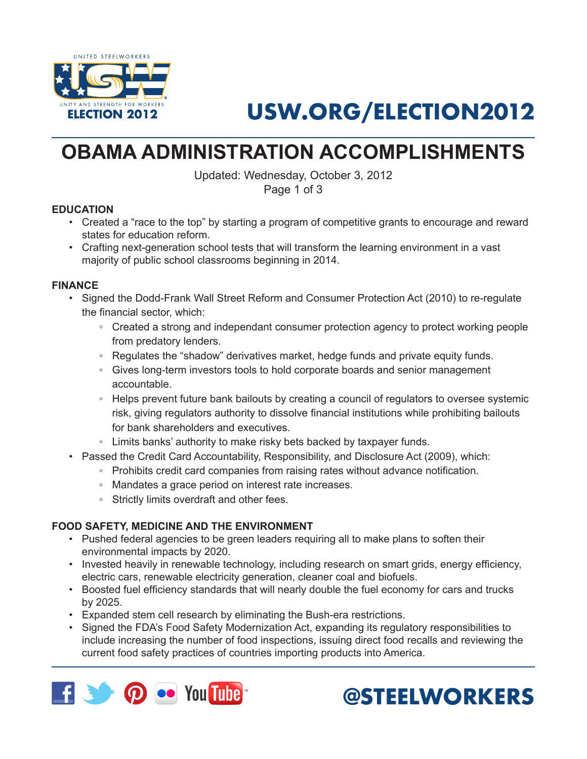

# **USW.ORG/ELECTION2012**

## **OBAMA ADMINISTRATION ACCOMPLISHMENTS**

Updated: Wednesday, October 3, 2012 Page 1 of 3

#### **EDUCATION**

- • Created a "race to the top" by starting a program of competitive grants to encourage and reward states for education reform.
- Crafting next-generation school tests that will transform the learning environment in a vast majority of public school classrooms beginning in 2014.

### **FINANCE**

- • Signed the Dodd-Frank Wall Street Reform and Consumer Protection Act (2010) to re-regulate the financial sector, which:
	- Created a strong and independant consumer protection agency to protect working people from predatory lenders.
	- Regulates the "shadow" derivatives market, hedge funds and private equity funds.
	- Gives long-term investors tools to hold corporate boards and senior management accountable.
	- Helps prevent future bank bailouts by creating a council of regulators to oversee systemic risk, giving regulators authority to dissolve financial institutions while prohibiting bailouts for bank shareholders and executives.
	- Limits banks' authority to make risky bets backed by taxpayer funds.
- • Passed the Credit Card Accountability, Responsibility, and Disclosure Act (2009), which:
	- Prohibits credit card companies from raising rates without advance notification.
	- Mandates a grace period on interest rate increases.
	- Strictly limits overdraft and other fees.

### **FOOD SAFETY, MEDICINE AND THE ENVIRONMENT**

- • Pushed federal agencies to be green leaders requiring all to make plans to soften their environmental impacts by 2020.
- Invested heavily in renewable technology, including research on smart grids, energy efficiency, electric cars, renewable electricity generation, cleaner coal and biofuels.
- Boosted fuel efficiency standards that will nearly double the fuel economy for cars and trucks by 2025.
- • Expanded stem cell research by eliminating the Bush-era restrictions.
- Signed the FDA's Food Safety Modernization Act, expanding its regulatory responsibilities to include increasing the number of food inspections, issuing direct food recalls and reviewing the current food safety practices of countries importing products into America.



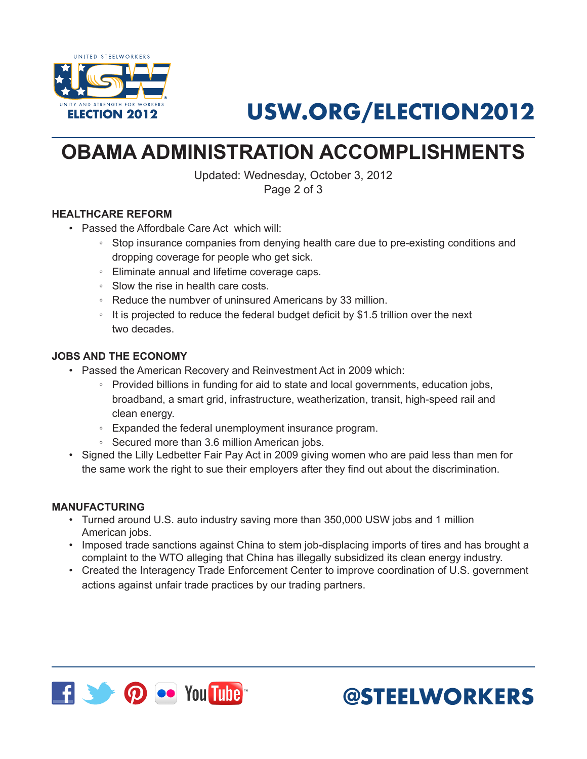

# **USW.ORG/ELECTION2012**

## **OBAMA ADMINISTRATION ACCOMPLISHMENTS**

Updated: Wednesday, October 3, 2012 Page 2 of 3

### **HEALTHCARE REFORM**

- • Passed the Affordbale Care Act which will:
	- Stop insurance companies from denying health care due to pre-existing conditions and dropping coverage for people who get sick.
	- Eliminate annual and lifetime coverage caps.
	- Slow the rise in health care costs.
	- Reduce the numbver of uninsured Americans by 33 million.
	- It is projected to reduce the federal budget deficit by \$1.5 trillion over the next two decades.

### **JOBS AND THE ECONOMY**

- Passed the American Recovery and Reinvestment Act in 2009 which:
	- Provided billions in funding for aid to state and local governments, education jobs, broadband, a smart grid, infrastructure, weatherization, transit, high-speed rail and clean energy.
	- Expanded the federal unemployment insurance program.
	- Secured more than 3.6 million American jobs.
- Signed the Lilly Ledbetter Fair Pay Act in 2009 giving women who are paid less than men for the same work the right to sue their employers after they find out about the discrimination.

#### **MANUFACTURING**

- • Turned around U.S. auto industry saving more than 350,000 USW jobs and 1 million American jobs.
- Imposed trade sanctions against China to stem job-displacing imports of tires and has brought a complaint to the WTO alleging that China has illegally subsidized its clean energy industry.
- • Created the Interagency Trade Enforcement Center to improve coordination of U.S. government actions against unfair trade practices by our trading partners.



**@STEELWORKERS**